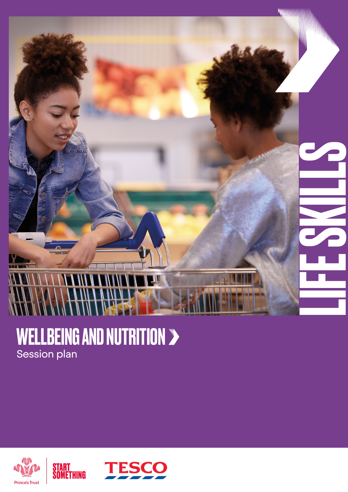

### WELLBEING AND NUTRITION Session plan



START<br>Something

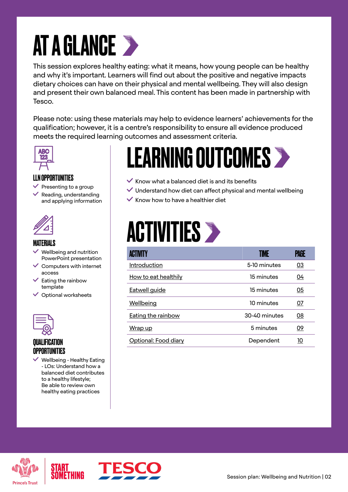### AT A GLANCE >

This session explores healthy eating: what it means, how young people can be healthy and why it's important. Learners will find out about the positive and negative impacts dietary choices can have on their physical and mental wellbeing. They will also design and present their own balanced meal. This content has been made in partnership with Tesco.

Please note: using these materials may help to evidence learners' achievements for the qualification; however, it is a centre's responsibility to ensure all evidence produced meets the required learning outcomes and assessment criteria.



#### LLN OPPORTUNITIES

- $\vee$  Presenting to a group
- $\checkmark$  Reading, understanding and applying information



#### MATERIALS

- Wellbeing and nutrition PowerPoint presentation
- $\vee$  Computers with internet access
- $\checkmark$  Eating the rainbow template
- $\vee$  Optional worksheets



#### QUALIFICATION **OPPORTUNITIES**

 Wellbeing - Healthy Eating - LOs: Understand how a balanced diet contributes to a healthy lifestyle; Be able to review own healthy eating practices

### LEARNING OUTCOMES

- $\checkmark$  Know what a balanced diet is and its benefits
- $\vee$  Understand how diet can affect physical and mental wellbeing
- $\checkmark$  Know how to have a healthier diet

### **ACTIVITIES >**

| ACTIVITY                  | TIME          | PAGE      |
|---------------------------|---------------|-----------|
| Introduction              | 5-10 minutes  | 03        |
| How to eat healthily      | 15 minutes    | 04        |
| <b>Eatwell guide</b>      | 15 minutes    | 05        |
| Wellbeing                 | 10 minutes    | <u>07</u> |
| <b>Eating the rainbow</b> | 30-40 minutes | 08        |
| Wrap up                   | 5 minutes     | 09        |
| Optional: Food diary      | Dependent     | 10        |



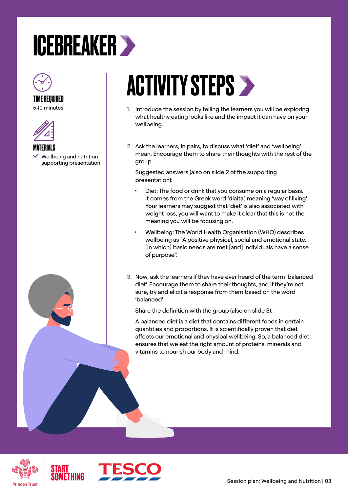### <span id="page-2-0"></span>ICEBREAKER



TIME REQUIRED 5-10 minutes



MATERIALS Wellbeing and nutrition supporting presentation

### **ACTIVITY STEPS >**

- 1. Introduce the session by telling the learners you will be exploring what healthy eating looks like and the impact it can have on your wellbeing.
- 2. Ask the learners, in pairs, to discuss what 'diet' and 'wellbeing' mean. Encourage them to share their thoughts with the rest of the group.

Suggested answers (also on slide 2 of the supporting presentation):

- Diet: The food or drink that you consume on a regular basis. It comes from the Greek word 'diaita', meaning 'way of living'. Your learners may suggest that 'diet' is also associated with weight loss, you will want to make it clear that this is not the meaning you will be focusing on.
- Wellbeing: The World Health Organisation (WHO) describes wellbeing as "A positive physical, social and emotional state… [in which] basic needs are met [and] individuals have a sense of purpose".
- 3. Now, ask the learners if they have ever heard of the term 'balanced diet'. Encourage them to share their thoughts, and if they're not sure, try and elicit a response from them based on the word 'balanced'.

Share the definition with the group (also on slide 3):

A balanced diet is a diet that contains different foods in certain quantities and proportions. It is scientifically proven that diet affects our emotional and physical wellbeing. So, a balanced diet ensures that we eat the right amount of proteins, minerals and vitamins to nourish our body and mind.





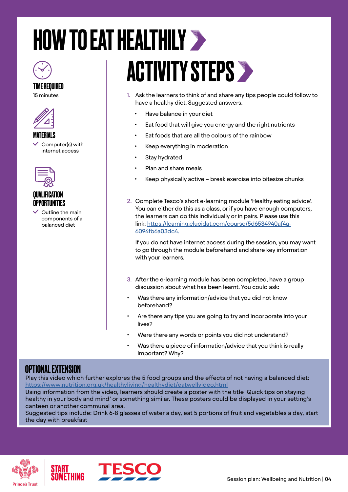# <span id="page-3-0"></span>HOW TO EAT HEALTHILY



15 minutes



MATERIALS Computer(s) with

internet access



#### QUALIFICATION **OPPORTUNITIES**

 $\vee$  Outline the main components of a balanced diet

# **ACTIVITY STEPS >**

- 1. Ask the learners to think of and share any tips people could follow to have a healthy diet. Suggested answers:
	- Have balance in your diet
	- Eat food that will give you energy and the right nutrients
	- Eat foods that are all the colours of the rainbow
	- Keep everything in moderation
	- Stay hydrated
	- Plan and share meals
	- Keep physically active break exercise into bitesize chunks
- 2. Complete Tesco's short e-learning module 'Healthy eating advice'. You can either do this as a class, or if you have enough computers, the learners can do this individually or in pairs. Please use this link: [https://learning.elucidat.com/course/5d6534940af4a-](https://learning.elucidat.com/course/5d6534940af4a-6094fb6a03dc4)[6094fb6a03dc4](https://learning.elucidat.com/course/5d6534940af4a-6094fb6a03dc4).

If you do not have internet access during the session, you may want to go through the module beforehand and share key information with your learners.

- 3. After the e-learning module has been completed, have a group discussion about what has been learnt. You could ask:
- Was there any information/advice that you did not know beforehand?
- Are there any tips you are going to try and incorporate into your lives?
- Were there any words or points you did not understand?
- Was there a piece of information/advice that you think is really important? Why?

#### OPTIONAL EXTENSION

Play this video which further explores the 5 food groups and the effects of not having a balanced diet: <https://www.nutrition.org.uk/healthyliving/healthydiet/eatwellvideo.html>

Using information from the video, learners should create a poster with the title 'Quick tips on staying healthy in your body and mind' or something similar. These posters could be displayed in your setting's canteen or another communal area.

Suggested tips include: Drink 6-8 glasses of water a day, eat 5 portions of fruit and vegetables a day, start the day with breakfast



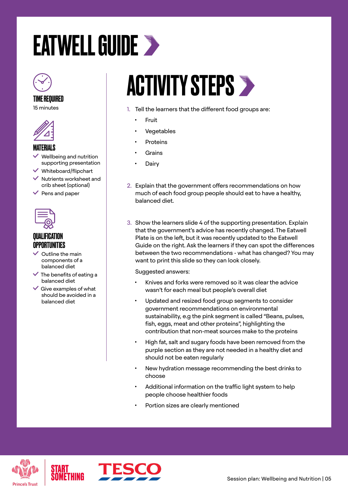## <span id="page-4-0"></span>EATWELL GUIDE



#### TIME REQUIRED

15 minutes



#### MATERIALS

- Wellbeing and nutrition supporting presentation
- $\checkmark$  Whiteboard/flipchart
- $\vee$  Nutrients worksheet and crib sheet (optional)
- $\vee$  Pens and paper



#### **QUALIFICATION** OPPORTUNITIES

- $\vee$  Outline the main components of a balanced diet
- $\checkmark$  The benefits of eating a balanced diet
- $\checkmark$  Give examples of what should be avoided in a balanced diet

### **ACTIVITY STEPS >**

- 1. Tell the learners that the different food groups are:
	- Fruit
	- **Vegetables**
	- **Proteins**
	- **Grains**
	- **Dairy**
- 2. Explain that the government offers recommendations on how much of each food group people should eat to have a healthy, balanced diet.
- 3. Show the learners slide 4 of the supporting presentation. Explain that the government's advice has recently changed. The Eatwell Plate is on the left, but it was recently updated to the Eatwell Guide on the right. Ask the learners if they can spot the differences between the two recommendations - what has changed? You may want to print this slide so they can look closely.

Suggested answers:

- Knives and forks were removed so it was clear the advice wasn't for each meal but people's overall diet
- Updated and resized food group segments to consider government recommendations on environmental sustainability, e.g the pink segment is called "Beans, pulses, fish, eggs, meat and other proteins", highlighting the contribution that non-meat sources make to the proteins
- High fat, salt and sugary foods have been removed from the purple section as they are not needed in a healthy diet and should not be eaten regularly
- New hydration message recommending the best drinks to choose
- Additional information on the traffic light system to help people choose healthier foods
- Portion sizes are clearly mentioned



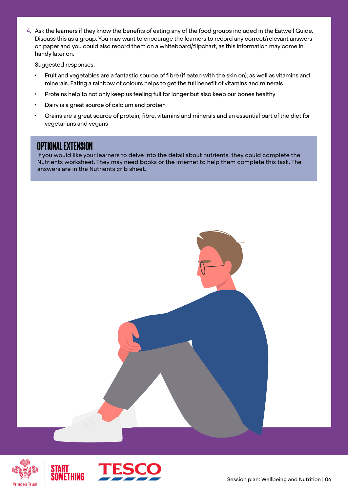4. Ask the learners if they know the benefits of eating any of the food groups included in the Eatwell Guide. Discuss this as a group. You may want to encourage the learners to record any correct/relevant answers on paper and you could also record them on a whiteboard/flipchart, as this information may come in handy later on.

Suggested responses:

- Fruit and vegetables are a fantastic source of fibre (if eaten with the skin on), as well as vitamins and minerals. Eating a rainbow of colours helps to get the full benefit of vitamins and minerals
- Proteins help to not only keep us feeling full for longer but also keep our bones healthy
- Dairy is a great source of calcium and protein
- Grains are a great source of protein, fibre, vitamins and minerals and an essential part of the diet for vegetarians and vegans

#### OPTIONAL EXTENSION

If you would like your learners to delve into the detail about nutrients, they could complete the Nutrients worksheet. They may need books or the internet to help them complete this task. The answers are in the Nutrients crib sheet.



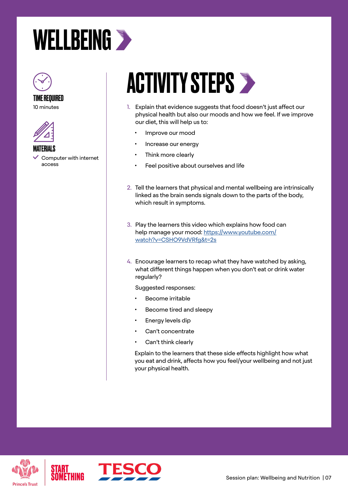### <span id="page-6-0"></span>WELLBEING >



TIME REQUIRED





MATERIALS

 Computer with internet access

### **ACTIVITY STEPS >**

- 1. Explain that evidence suggests that food doesn't just affect our physical health but also our moods and how we feel. If we improve our diet, this will help us to:
	- Improve our mood
	- Increase our energy
	- Think more clearly
	- Feel positive about ourselves and life
- 2. Tell the learners that physical and mental wellbeing are intrinsically linked as the brain sends signals down to the parts of the body, which result in symptoms.
- 3. Play the learners this video which explains how food can help manage your mood: [https://www.youtube.com/](https://www.youtube.com/watch?v=CSHO9VdVRfg&t=2s) [watch?v=CSHO9VdVRfg&t=2s](https://www.youtube.com/watch?v=CSHO9VdVRfg&t=2s)
- 4. Encourage learners to recap what they have watched by asking, what different things happen when you don't eat or drink water regularly?

Suggested responses:

- Become irritable
- Become tired and sleepy
- Energy levels dip
- Can't concentrate
- Can't think clearly

Explain to the learners that these side effects highlight how what you eat and drink, affects how you feel/your wellbeing and not just your physical health.



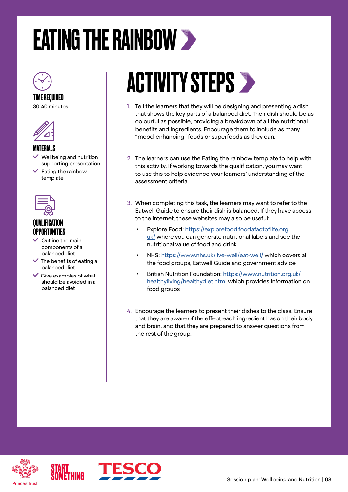### <span id="page-7-0"></span>EATING THE RAINBOW



### TIME REQUIRED

30-40 minutes



#### MATERIALS

- Wellbeing and nutrition supporting presentation
- $\checkmark$  Eating the rainbow template



#### **QUALIFICATION** OPPORTUNITIES

- $\vee$  Outline the main components of a balanced diet
- $\checkmark$  The benefits of eating a balanced diet
- $\checkmark$  Give examples of what should be avoided in a balanced diet

### **ACTIVITY STEPS >**

- 1. Tell the learners that they will be designing and presenting a dish that shows the key parts of a balanced diet. Their dish should be as colourful as possible, providing a breakdown of all the nutritional benefits and ingredients. Encourage them to include as many "mood-enhancing" foods or superfoods as they can.
- 2. The learners can use the Eating the rainbow template to help with this activity. If working towards the qualification, you may want to use this to help evidence your learners' understanding of the assessment criteria.
- 3. When completing this task, the learners may want to refer to the Eatwell Guide to ensure their dish is balanced. If they have access to the internet, these websites may also be useful:
	- Explore Food: [https://explorefood.foodafactoflife.org.](https://explorefood.foodafactoflife.org.uk/) [uk/](https://explorefood.foodafactoflife.org.uk/) where you can generate nutritional labels and see the nutritional value of food and drink
	- NHS:<https://www.nhs.uk/live-well/eat-well/> which covers all the food groups, Eatwell Guide and government advice
	- British Nutrition Foundation: [https://www.nutrition.org.uk/](https://www.nutrition.org.uk/healthyliving/healthydiet.html) [healthyliving/healthydiet.html](https://www.nutrition.org.uk/healthyliving/healthydiet.html) which provides information on food groups
- 4. Encourage the learners to present their dishes to the class. Ensure that they are aware of the effect each ingredient has on their body and brain, and that they are prepared to answer questions from the rest of the group.



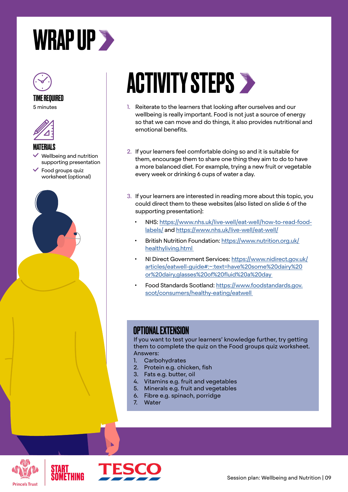<span id="page-8-0"></span>



#### TIME REQUIRED

5 minutes



MATERIALS

- Wellbeing and nutrition supporting presentation
- Food groups quiz worksheet (optional)



### **ACTIVITY STEPS >**

- 1. Reiterate to the learners that looking after ourselves and our wellbeing is really important. Food is not just a source of energy so that we can move and do things, it also provides nutritional and emotional benefits.
- 2. If your learners feel comfortable doing so and it is suitable for them, encourage them to share one thing they aim to do to have a more balanced diet. For example, trying a new fruit or vegetable every week or drinking 6 cups of water a day.
- 3. If your learners are interested in reading more about this topic, you could direct them to these websites (also listed on slide 6 of the supporting presentation):
	- NHS: [https://www.nhs.uk/live-well/eat-well/how-to-read-food](https://www.nhs.uk/live-well/eat-well/how-to-read-food-labels/)[labels/](https://www.nhs.uk/live-well/eat-well/how-to-read-food-labels/) and<https://www.nhs.uk/live-well/eat-well/>
	- British Nutrition Foundation: [https://www.nutrition.org.uk/](https://www.nutrition.org.uk/healthyliving.html ) [healthyliving.html](https://www.nutrition.org.uk/healthyliving.html )
	- NI Direct Government Services: [https://www.nidirect.gov.uk/](https://www.nidirect.gov.uk/articles/eatwell-guide#:~:text=have%20some%20dairy%20or%20dairy,glasses%20of%20fluid%20a%20day ) [articles/eatwell-guide#:~:text=have%20some%20dairy%20](https://www.nidirect.gov.uk/articles/eatwell-guide#:~:text=have%20some%20dairy%20or%20dairy,glasses%20of%20fluid%20a%20day ) [or%20dairy,glasses%20of%20fluid%20a%20day](https://www.nidirect.gov.uk/articles/eatwell-guide#:~:text=have%20some%20dairy%20or%20dairy,glasses%20of%20fluid%20a%20day )
	- Food Standards Scotland: [https://www.foodstandards.gov.](https://www.foodstandards.gov.scot/consumers/healthy-eating/eatwell ) [scot/consumers/healthy-eating/eatwell](https://www.foodstandards.gov.scot/consumers/healthy-eating/eatwell )

#### OPTIONAL EXTENSION

If you want to test your learners' knowledge further, try getting them to complete the quiz on the Food groups quiz worksheet. Answers:

- 1. Carbohydrates
- 2. Protein e.g. chicken, fish
- 3. Fats e.g. butter, oil
- 4. Vitamins e.g. fruit and vegetables
- 5. Minerals e.g. fruit and vegetables
- 6. Fibre e.g. spinach, porridge
- 7. Water